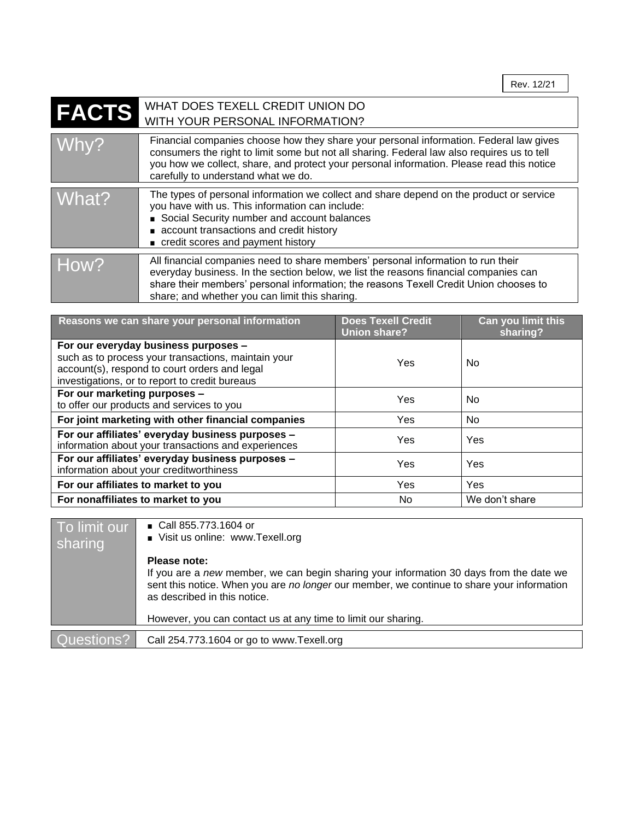| <b>FACTS</b> | WHAT DOES TEXELL CREDIT UNION DO<br>WITH YOUR PERSONAL INFORMATION?                                                                                                                                                                                                                                                       |
|--------------|---------------------------------------------------------------------------------------------------------------------------------------------------------------------------------------------------------------------------------------------------------------------------------------------------------------------------|
| Whv?         | Financial companies choose how they share your personal information. Federal law gives<br>consumers the right to limit some but not all sharing. Federal law also requires us to tell<br>you how we collect, share, and protect your personal information. Please read this notice<br>carefully to understand what we do. |
| What?        | The types of personal information we collect and share depend on the product or service<br>you have with us. This information can include:<br>Social Security number and account balances<br>account transactions and credit history<br>credit scores and payment history                                                 |
| How?         | All financial companies need to share members' personal information to run their<br>everyday business. In the section below, we list the reasons financial companies can<br>share their members' personal information; the reasons Texell Credit Union chooses to<br>share; and whether you can limit this sharing.       |

| Reasons we can share your personal information                                                          | <b>Does Texell Credit</b><br><b>Union share?</b> | Can you limit this<br>sharing? |
|---------------------------------------------------------------------------------------------------------|--------------------------------------------------|--------------------------------|
| For our everyday business purposes -<br>such as to process your transactions, maintain your             | Yes                                              | No.                            |
| account(s), respond to court orders and legal<br>investigations, or to report to credit bureaus         |                                                  |                                |
| For our marketing purposes -<br>to offer our products and services to you                               | Yes                                              | No.                            |
| For joint marketing with other financial companies                                                      | Yes                                              | No.                            |
| For our affiliates' everyday business purposes -<br>information about your transactions and experiences | Yes                                              | Yes                            |
| For our affiliates' everyday business purposes -<br>information about your creditworthiness             | Yes                                              | Yes                            |
| For our affiliates to market to you                                                                     | Yes                                              | Yes                            |
| For nonaffiliates to market to you                                                                      | No.                                              | We don't share                 |

| To limit our<br>sharing | ■ Call 855.773.1604 or<br>Visit us online: www.Texell.org                                                                                                                                                                             |
|-------------------------|---------------------------------------------------------------------------------------------------------------------------------------------------------------------------------------------------------------------------------------|
|                         | Please note:<br>If you are a new member, we can begin sharing your information 30 days from the date we<br>sent this notice. When you are no longer our member, we continue to share your information<br>as described in this notice. |
|                         | However, you can contact us at any time to limit our sharing.                                                                                                                                                                         |
| Questions?              | Call 254.773.1604 or go to www.Texell.org                                                                                                                                                                                             |